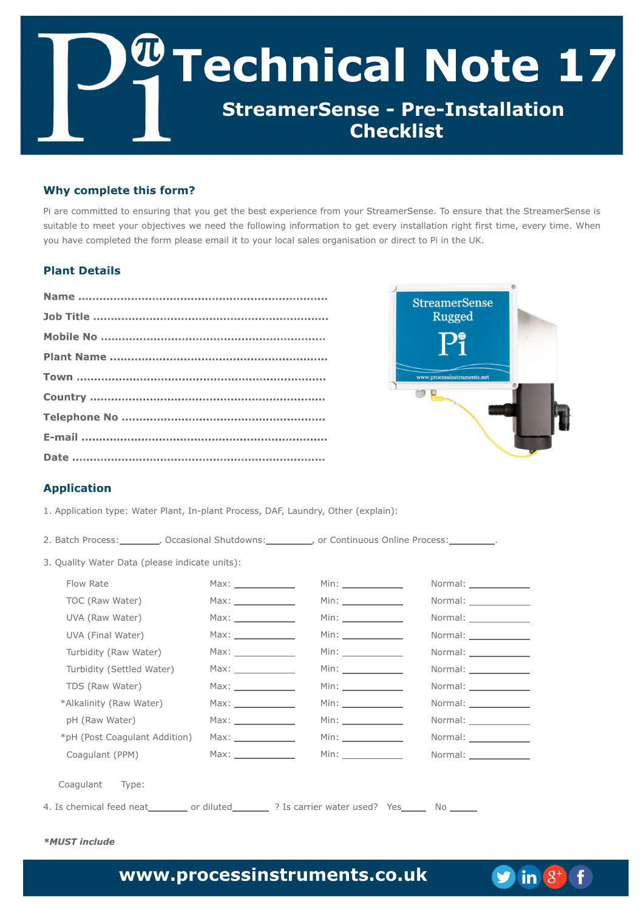G bsf dpn n jufe up fotvsjoh ui buzpv hfu ui f cftu fyqfsjfodf gspn zpvs Tusfbn fsTfotf/Up fotvsf ui bu ui f Tusfbn fsTfotfjt tvjubcm up n ffu zpvs pckf dujwft x f offe ui f gpmpx joh jogosn bujpo up hfu fwfsz jotubmbujpo sjhi u gistu ujn f-fwfsz ujn f/Xifo zpv i bwf dpn qmfufe u f gpsn qmfbtf fn bjmju up zpvs mpdbmt bmft pshbojt bujpo psejsf du up Qj jo u f VL/

2/ Bqqrjdbyjpo uzqf; X buf s Qrbou-Jo.qrbou Qspdf tt - EBG Mbvoesz- Pui fs )fyqrbjo\*;

| 3/Cbudi Qspdftt;__________-PddbtjpobmTivuepxot;__________-psDpoujovpvtPomjofQspdftt;_________/           |                       |                        |                          |
|----------------------------------------------------------------------------------------------------------|-----------------------|------------------------|--------------------------|
| 4/ Rvbmuz X buf s Ebub ) qmlbt f joejdbuf vojut *;                                                       |                       |                        |                          |
| Gpx Sbuf                                                                                                 |                       | Njo; ________________  |                          |
| $UPD)$ Sbx $X$ bufs $*$                                                                                  |                       | Njo; ________________  | Opsn bm _______________  |
| VWB ) Sbx X buf s*                                                                                       | Nby; ________________ |                        |                          |
| VWB ) GobmX buf s*                                                                                       | Nby; ________________ | Njo; ________________  | Opsn bm _______________  |
| Uvscjejuz $)$ Sbx X bufs*                                                                                | Nby; ________________ | Njo; _______________   |                          |
| Uvscjejuz ) Tf unite $X$ but s <sup>*</sup>                                                              |                       |                        | Opsn bm ______________   |
| $UET$ ) Sbx $X$ buf s*                                                                                   |                       | Njo;                   |                          |
| +Brhbrjouz ) Sbx X buf s*                                                                                | Nby; _______________  | Njo; _______________   | Opsn bm ______________   |
| ql)Sbx X buf s*                                                                                          | Nby; ________________ | Njo; ______________    |                          |
| +ql ) Qpt u Dpbhy mbou Beejujpo*                                                                         |                       |                        | Opsn bm ________________ |
| Dpbhyrbou) QQN*                                                                                          |                       | Njo; _________________ | Opsn bm                  |
| Dpbhvmlou Uzqf;                                                                                          |                       |                        |                          |
| 5/ Jt difnjdbmgffe of bu__________psejnaufe_____________@_Jt dbssjfs x bufs vtfe@ Zft________Op ________ |                       |                        |                          |